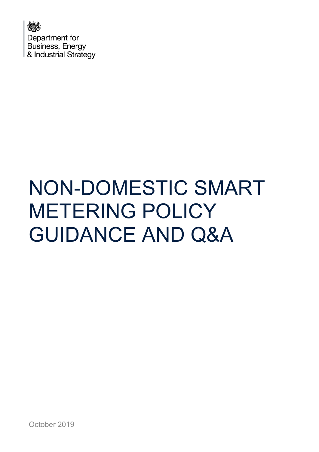

# NON-DOMESTIC SMART METERING POLICY GUIDANCE AND Q&A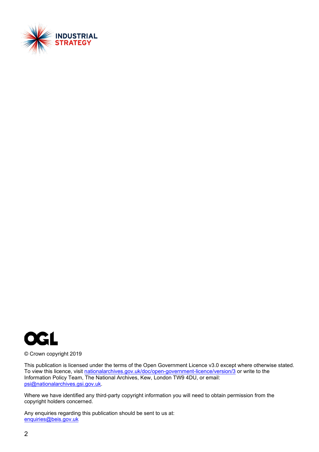



© Crown copyright 2019

This publication is licensed under the terms of the Open Government Licence v3.0 except where otherwise stated. To view this licence, visit [nationalarchives.gov.uk/doc/open-government-licence/version/3](http://nationalarchives.gov.uk/doc/open-government-licence/version/3/) or write to the Information Policy Team, The National Archives, Kew, London TW9 4DU, or email: [psi@nationalarchives.gsi.gov.uk.](mailto:psi@nationalarchives.gsi.gov.uk)

Where we have identified any third-party copyright information you will need to obtain permission from the copyright holders concerned.

Any enquiries regarding this publication should be sent to us at: [enquiries@beis.gov.uk](mailto:enquiries@beis.gov.uk)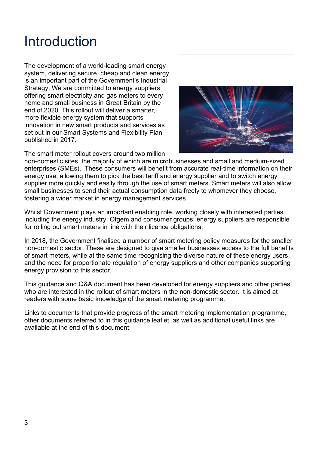### Introduction

The development of a world-leading smart energy system, delivering secure, cheap and clean energy is an important part of the Government's Industrial Strategy. We are committed to energy suppliers offering smart electricity and gas meters to every home and small business in Great Britain by the end of 2020. This rollout will deliver a smarter, more flexible energy system that supports innovation in new smart products and services as set out in our Smart Systems and Flexibility Plan published in 2017.



The smart meter rollout covers around two million

non-domestic sites, the majority of which are microbusinesses and small and medium-sized enterprises (SMEs). These consumers will benefit from accurate real-time information on their energy use, allowing them to pick the best tariff and energy supplier and to switch energy supplier more quickly and easily through the use of smart meters. Smart meters will also allow small businesses to send their actual consumption data freely to whomever they choose, fostering a wider market in energy management services.

Whilst Government plays an important enabling role, working closely with interested parties including the energy industry, Ofgem and consumer groups; energy suppliers are responsible for rolling out smart meters in line with their licence obligations.

In 2018, the Government finalised a number of smart metering policy measures for the smaller non-domestic sector. These are designed to give smaller businesses access to the full benefits of smart meters, while at the same time recognising the diverse nature of these energy users and the need for proportionate regulation of energy suppliers and other companies supporting energy provision to this sector.

This guidance and Q&A document has been developed for energy suppliers and other parties who are interested in the rollout of smart meters in the non-domestic sector. It is aimed at readers with some basic knowledge of the smart metering programme.

Links to documents that provide progress of the smart metering implementation programme, other documents referred to in this guidance leaflet, as well as additional useful links are available at the end of this document.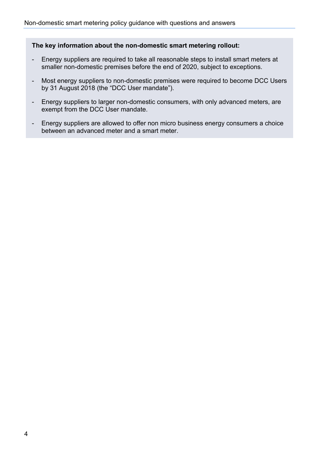#### **The key information about the non-domestic smart metering rollout:**

- Energy suppliers are required to take all reasonable steps to install smart meters at smaller non-domestic premises before the end of 2020, subject to exceptions.
- Most energy suppliers to non-domestic premises were required to become DCC Users by 31 August 2018 (the "DCC User mandate").
- Energy suppliers to larger non-domestic consumers, with only advanced meters, are exempt from the DCC User mandate.
- Energy suppliers are allowed to offer non micro business energy consumers a choice between an advanced meter and a smart meter.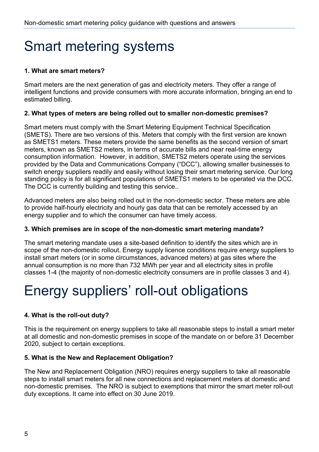## Smart metering systems

#### **1. What are smart meters?**

Smart meters are the next generation of gas and electricity meters. They offer a range of intelligent functions and provide consumers with more accurate information, bringing an end to estimated billing.

#### **2. What types of meters are being rolled out to smaller non-domestic premises?**

Smart meters must comply with the Smart Metering Equipment Technical Specification (SMETS). There are two versions of this. Meters that comply with the first version are known as SMETS1 meters. These meters provide the same benefits as the second version of smart meters, known as SMETS2 meters, in terms of accurate bills and near real-time energy consumption information. However, in addition, SMETS2 meters operate using the services provided by the Data and Communications Company ("DCC"), allowing smaller businesses to switch energy suppliers readily and easily without losing their smart metering service. Our long standing policy is for all significant populations of SMETS1 meters to be operated via the DCC. The DCC is currently building and testing this service..

Advanced meters are also being rolled out in the non-domestic sector. These meters are able to provide half-hourly electricity and hourly gas data that can be remotely accessed by an energy supplier and to which the consumer can have timely access.

#### **3. Which premises are in scope of the non-domestic smart metering mandate?**

The smart metering mandate uses a site-based definition to identify the sites which are in scope of the non-domestic rollout. Energy supply licence conditions require energy suppliers to install smart meters (or in some circumstances, advanced meters) at gas sites where the annual consumption is no more than 732 MWh per year and all electricity sites in profile classes 1-4 (the majority of non-domestic electricity consumers are in profile classes 3 and 4).

## Energy suppliers' roll-out obligations

#### **4. What is the roll-out duty?**

This is the requirement on energy suppliers to take all reasonable steps to install a smart meter at all domestic and non-domestic premises in scope of the mandate on or before 31 December 2020, subject to certain exceptions.

#### **5. What is the New and Replacement Obligation?**

The New and Replacement Obligation (NRO) requires energy suppliers to take all reasonable steps to install smart meters for all new connections and replacement meters at domestic and non-domestic premises. The NRO is subject to exemptions that mirror the smart meter roll-out duty exceptions. It came into effect on 30 June 2019.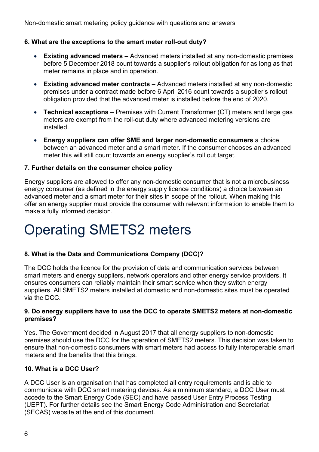#### **6. What are the exceptions to the smart meter roll-out duty?**

- **Existing advanced meters**  Advanced meters installed at any non-domestic premises before 5 December 2018 count towards a supplier's rollout obligation for as long as that meter remains in place and in operation.
- **Existing advanced meter contracts**  Advanced meters installed at any non-domestic premises under a contract made before 6 April 2016 count towards a supplier's rollout obligation provided that the advanced meter is installed before the end of 2020.
- **Technical exceptions** Premises with Current Transformer (CT) meters and large gas meters are exempt from the roll-out duty where advanced metering versions are installed.
- **Energy suppliers can offer SME and larger non-domestic consumers** a choice between an advanced meter and a smart meter. If the consumer chooses an advanced meter this will still count towards an energy supplier's roll out target.

#### **7. Further details on the consumer choice policy**

Energy suppliers are allowed to offer any non-domestic consumer that is not a microbusiness energy consumer (as defined in the energy supply licence conditions) a choice between an advanced meter and a smart meter for their sites in scope of the rollout. When making this offer an energy supplier must provide the consumer with relevant information to enable them to make a fully informed decision.

### Operating SMETS2 meters

#### **8. What is the Data and Communications Company (DCC)?**

The DCC holds the licence for the provision of data and communication services between smart meters and energy suppliers, network operators and other energy service providers. It ensures consumers can reliably maintain their smart service when they switch energy suppliers. All SMETS2 meters installed at domestic and non-domestic sites must be operated via the DCC.

#### **9. Do energy suppliers have to use the DCC to operate SMETS2 meters at non-domestic premises?**

Yes. The Government decided in August 2017 that all energy suppliers to non-domestic premises should use the DCC for the operation of SMETS2 meters. This decision was taken to ensure that non-domestic consumers with smart meters had access to fully interoperable smart meters and the benefits that this brings.

#### **10. What is a DCC User?**

A DCC User is an organisation that has completed all entry requirements and is able to communicate with DCC smart metering devices. As a minimum standard, a DCC User must accede to the Smart Energy Code (SEC) and have passed User Entry Process Testing (UEPT). For further details see the Smart Energy Code Administration and Secretariat (SECAS) website at the end of this document.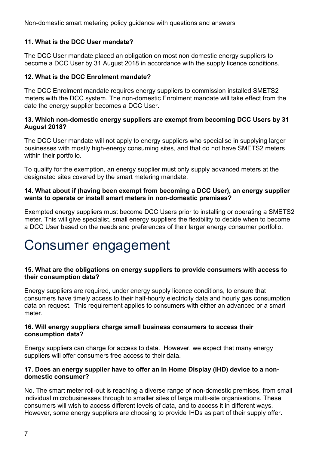#### **11. What is the DCC User mandate?**

The DCC User mandate placed an obligation on most non domestic energy suppliers to become a DCC User by 31 August 2018 in accordance with the supply licence conditions.

#### **12. What is the DCC Enrolment mandate?**

The DCC Enrolment mandate requires energy suppliers to commission installed SMETS2 meters with the DCC system. The non-domestic Enrolment mandate will take effect from the date the energy supplier becomes a DCC User.

#### **13. Which non-domestic energy suppliers are exempt from becoming DCC Users by 31 August 2018?**

The DCC User mandate will not apply to energy suppliers who specialise in supplying larger businesses with mostly high-energy consuming sites, and that do not have SMETS2 meters within their portfolio.

To qualify for the exemption, an energy supplier must only supply advanced meters at the designated sites covered by the smart metering mandate.

#### **14. What about if (having been exempt from becoming a DCC User), an energy supplier wants to operate or install smart meters in non-domestic premises?**

Exempted energy suppliers must become DCC Users prior to installing or operating a SMETS2 meter. This will give specialist, small energy suppliers the flexibility to decide when to become a DCC User based on the needs and preferences of their larger energy consumer portfolio.

### Consumer engagement

#### **15. What are the obligations on energy suppliers to provide consumers with access to their consumption data?**

Energy suppliers are required, under energy supply licence conditions, to ensure that consumers have timely access to their half-hourly electricity data and hourly gas consumption data on request. This requirement applies to consumers with either an advanced or a smart meter.

#### **16. Will energy suppliers charge small business consumers to access their consumption data?**

Energy suppliers can charge for access to data. However, we expect that many energy suppliers will offer consumers free access to their data.

#### **17. Does an energy supplier have to offer an In Home Display (IHD) device to a nondomestic consumer?**

No. The smart meter roll-out is reaching a diverse range of non-domestic premises, from small individual microbusinesses through to smaller sites of large multi-site organisations. These consumers will wish to access different levels of data, and to access it in different ways. However, some energy suppliers are choosing to provide IHDs as part of their supply offer.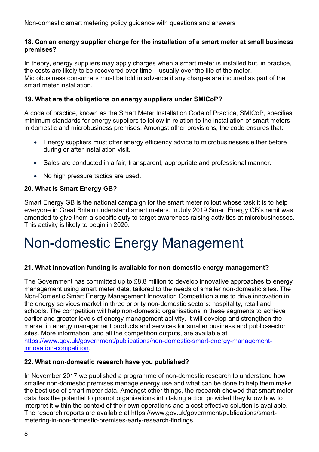#### **18. Can an energy supplier charge for the installation of a smart meter at small business premises?**

In theory, energy suppliers may apply charges when a smart meter is installed but, in practice, the costs are likely to be recovered over time – usually over the life of the meter. Microbusiness consumers must be told in advance if any charges are incurred as part of the smart meter installation.

#### **19. What are the obligations on energy suppliers under SMICoP?**

A code of practice, known as the [Smart Meter Installation Code of Practice,](http://www.smicop.co.uk/) [SMICoP,](http://www.smicop.co.uk/SitePages/Home.aspx) specifies minimum standards for energy suppliers to follow in relation to the installation of smart meters in domestic and microbusiness premises. Amongst other provisions, the code ensures that:

- Energy suppliers must offer energy efficiency advice to microbusinesses either before during or after installation visit.
- Sales are conducted in a fair, transparent, appropriate and professional manner.
- No high pressure tactics are used.

#### **20. What is Smart Energy GB?**

Smart Energy GB is the national campaign for the smart meter rollout whose task it is to help everyone in Great Britain understand smart meters. In July 2019 Smart Energy GB's remit was amended to give them a specific duty to target awareness raising activities at microbusinesses. This activity is likely to begin in 2020.

### Non-domestic Energy Management

#### **21. What innovation funding is available for non-domestic energy management?**

The Government has committed up to £8.8 million to develop innovative approaches to energy management using smart meter data, tailored to the needs of smaller non-domestic sites. The Non-Domestic Smart Energy Management Innovation Competition aims to drive innovation in the energy services market in three priority non-domestic sectors: hospitality, retail and schools. The competition will help non-domestic organisations in these segments to achieve earlier and greater levels of energy management activity. It will develop and strengthen the market in energy management products and services for smaller business and public-sector sites. More information, and all the competition outputs, are available at [https://www.gov.uk/government/publications/non-domestic-smart-energy-management](https://www.gov.uk/government/publications/non-domestic-smart-energy-management-innovation-competition)[innovation-competition.](https://www.gov.uk/government/publications/non-domestic-smart-energy-management-innovation-competition)

#### **22. What non-domestic research have you published?**

In November 2017 we published a programme of non-domestic research to understand how smaller non-domestic premises manage energy use and what can be done to help them make the best use of smart meter data. Amongst other things, the research showed that smart meter data has the potential to prompt organisations into taking action provided they know how to interpret it within the context of their own operations and a cost effective solution is available. The research reports are available at https://www.gov.uk/government/publications/smartmetering-in-non-domestic-premises-early-research-findings.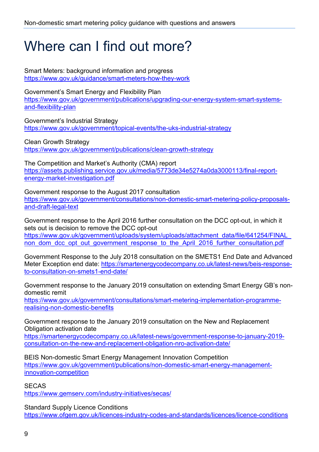### Where can I find out more?

Smart Meters: background information and progress <https://www.gov.uk/guidance/smart-meters-how-they-work>

Government's Smart Energy and Flexibility Plan [https://www.gov.uk/government/publications/upgrading-our-energy-system-smart-systems](https://www.gov.uk/government/publications/upgrading-our-energy-system-smart-systems-and-flexibility-plan)[and-flexibility-plan](https://www.gov.uk/government/publications/upgrading-our-energy-system-smart-systems-and-flexibility-plan) 

Government's Industrial Strategy <https://www.gov.uk/government/topical-events/the-uks-industrial-strategy>

Clean Growth Strategy <https://www.gov.uk/government/publications/clean-growth-strategy>

The Competition and Market's Authority (CMA) report [https://assets.publishing.service.gov.uk/media/5773de34e5274a0da3000113/final-report](https://assets.publishing.service.gov.uk/media/5773de34e5274a0da3000113/final-report-energy-market-investigation.pdf)[energy-market-investigation.pdf](https://assets.publishing.service.gov.uk/media/5773de34e5274a0da3000113/final-report-energy-market-investigation.pdf) 

Government response to the August 2017 consultation [https://www.gov.uk/government/consultations/non-domestic-smart-metering-policy-proposals](https://www.gov.uk/government/consultations/non-domestic-smart-metering-policy-proposals-and-draft-legal-text)[and-draft-legal-text](https://www.gov.uk/government/consultations/non-domestic-smart-metering-policy-proposals-and-draft-legal-text) 

Government response to the April 2016 further consultation on the DCC opt-out, in which it sets out is decision to remove the DCC opt-out https://www.gov.uk/government/uploads/system/uploads/attachment\_data/file/641254/FINAL non dom dcc\_opt\_out\_government\_response\_to\_the\_April\_2016\_further\_consultation.pdf

Government Response to the July 2018 consultation on the SMETS1 End Date and Advanced Meter Exception end date: [https://smartenergycodecompany.co.uk/latest-news/beis-response](https://smartenergycodecompany.co.uk/latest-news/beis-response-to-consultation-on-smets1-end-date/)[to-consultation-on-smets1-end-date/](https://smartenergycodecompany.co.uk/latest-news/beis-response-to-consultation-on-smets1-end-date/) 

Government response to the January 2019 consultation on extending Smart Energy GB's nondomestic remit [https://www.gov.uk/government/consultations/smart-metering-implementation-programme](https://www.gov.uk/government/consultations/smart-metering-implementation-programme-realising-non-domestic-benefits)[realising-non-domestic-benefits](https://www.gov.uk/government/consultations/smart-metering-implementation-programme-realising-non-domestic-benefits)

Government response to the January 2019 consultation on the New and Replacement Obligation activation date

[https://smartenergycodecompany.co.uk/latest-news/government-response-to-january-2019](https://smartenergycodecompany.co.uk/latest-news/government-response-to-january-2019-consultation-on-the-new-and-replacement-obligation-nro-activation-date/) [consultation-on-the-new-and-replacement-obligation-nro-activation-date/](https://smartenergycodecompany.co.uk/latest-news/government-response-to-january-2019-consultation-on-the-new-and-replacement-obligation-nro-activation-date/) 

BEIS Non-domestic Smart Energy Management Innovation Competition [https://www.gov.uk/government/publications/non-domestic-smart-energy-management](https://www.gov.uk/government/publications/non-domestic-smart-energy-management-innovation-competition)[innovation-competition](https://www.gov.uk/government/publications/non-domestic-smart-energy-management-innovation-competition) 

**SECAS** 

<https://www.gemserv.com/industry-initiatives/secas/>

Standard Supply Licence Conditions <https://www.ofgem.gov.uk/licences-industry-codes-and-standards/licences/licence-conditions>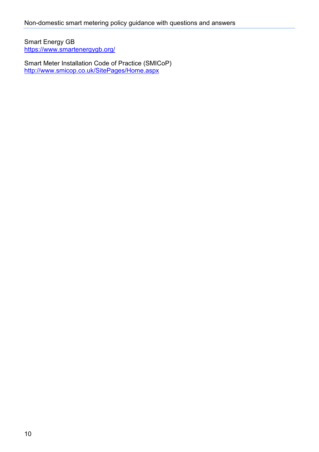Smart Energy GB <https://www.smartenergygb.org/>

Smart Meter Installation Code of Practice (SMICoP) <http://www.smicop.co.uk/SitePages/Home.aspx>